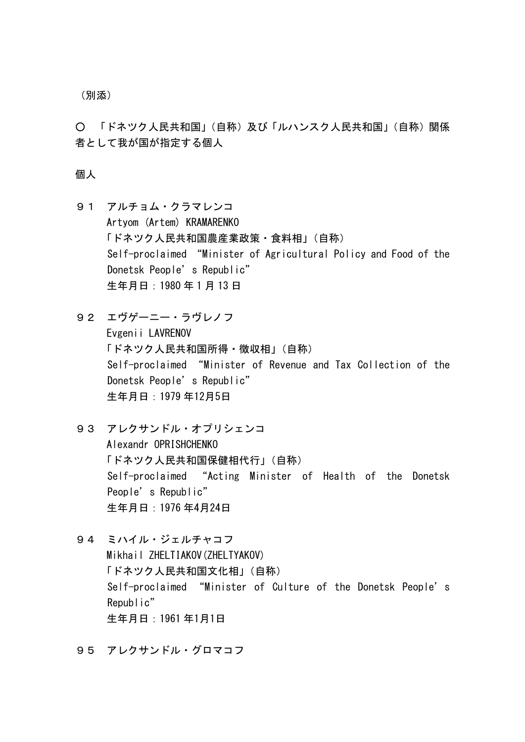(別添)

○ 「ドネツク人民共和国」(自称)及び「ルハンスク人民共和国」(自称)関係 者として我が国が指定する個人

個人

- 91 アルチョム・クラマレンコ Artyom (Artem) KRAMARENKO 「ドネツク人民共和国農産業政策・食料相」(自称) Self-proclaimed "Minister of Agricultural Policy and Food of the Donetsk People's Republic" 生年月日:1980 年 1 月 13 日
- 92 エヴゲーニー・ラヴレノフ Evgenii LAVRENOV 「ドネツク人民共和国所得・徴収相」(自称) Self-proclaimed "Minister of Revenue and Tax Collection of the Donetsk People's Republic" 生年月日:1979 年12月5日
- 93 アレクサンドル・オプリシェンコ Alexandr OPRISHCHENKO 「ドネツク人民共和国保健相代行」(自称) Self-proclaimed "Acting Minister of Health of the Donetsk People's Republic" 生年月日:1976 年4月24日
- 94 ミハイル・ジェルチャコフ Mikhail ZHELTIAKOV(ZHELTYAKOV) 「ドネツク人民共和国文化相」(自称) Self-proclaimed "Minister of Culture of the Donetsk People's Republic" 生年月日:1961 年1月1日
- 95 アレクサンドル・グロマコフ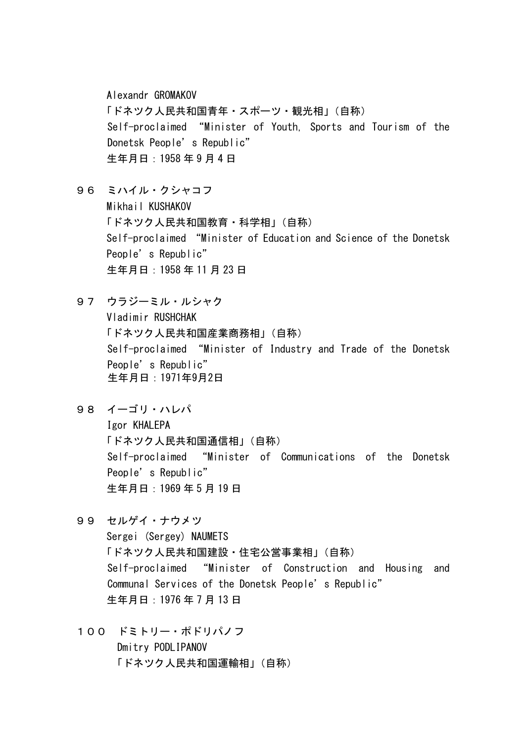Alexandr GROMAKOV 「ドネツク人民共和国青年・スポーツ・観光相」(自称) Self-proclaimed "Minister of Youth, Sports and Tourism of the Donetsk People's Republic" 生年月日:1958 年 9 月 4 日

- 96 ミハイル・クシャコフ Mikhail KUSHAKOV 「ドネツク人民共和国教育・科学相」(自称) Self-proclaimed "Minister of Education and Science of the Donetsk People's Republic" 生年月日:1958 年 11 月 23 日
- 97 ウラジーミル・ルシャク Vladimir RUSHCHAK 「ドネツク人民共和国産業商務相」(自称) Self-proclaimed "Minister of Industry and Trade of the Donetsk People's Republic" 生年月日:1971年9月2日
- 98 イーゴリ・ハレパ

Igor KHALEPA 「ドネツク人民共和国通信相」(自称) Self-proclaimed "Minister of Communications of the Donetsk People's Republic" 生年月日:1969 年 5 月 19 日

- 99 セルゲイ・ナウメツ Sergei (Sergey) NAUMETS 「ドネツク人民共和国建設・住宅公営事業相」(自称) Self-proclaimed "Minister of Construction and Housing and Communal Services of the Donetsk People's Republic" 生年月日:1976 年 7 月 13 日
- 100 ドミトリー・ポドリパノフ Dmitry PODLIPANOV 「ドネツク人民共和国運輸相」(自称)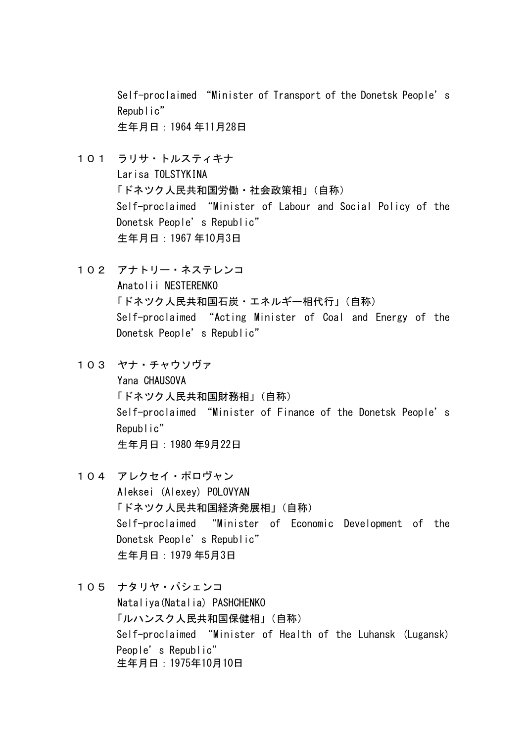Self-proclaimed "Minister of Transport of the Donetsk People's Republic" 生年月日:1964 年11月28日

- 101 ラリサ・トルスティキナ Larisa TOLSTYKINA 「ドネツク人民共和国労働・社会政策相」(自称) Self-proclaimed "Minister of Labour and Social Policy of the Donetsk People's Republic" 生年月日:1967 年10月3日
- 102 アナトリー・ネステレンコ Anatolii NESTERENKO 「ドネツク人民共和国石炭・エネルギー相代行」(自称) Self-proclaimed "Acting Minister of Coal and Energy of the Donetsk People's Republic"
- 103 ヤナ・チャウソヴァ Yana CHAUSOVA 「ドネツク人民共和国財務相」(自称) Self-proclaimed "Minister of Finance of the Donetsk People's Republic" 生年月日:1980 年9月22日
- 104 アレクセイ・ポロヴャン Aleksei (Alexey) POLOVYAN 「ドネツク人民共和国経済発展相」(自称) Self-proclaimed "Minister of Economic Development of the Donetsk People's Republic" 生年月日:1979 年5月3日
- 105 ナタリヤ・パシェンコ Nataliya(Natalia) PASHCHENKO 「ルハンスク人民共和国保健相」(自称) Self-proclaimed "Minister of Health of the Luhansk (Lugansk) People's Republic" 生年月日:1975年10月10日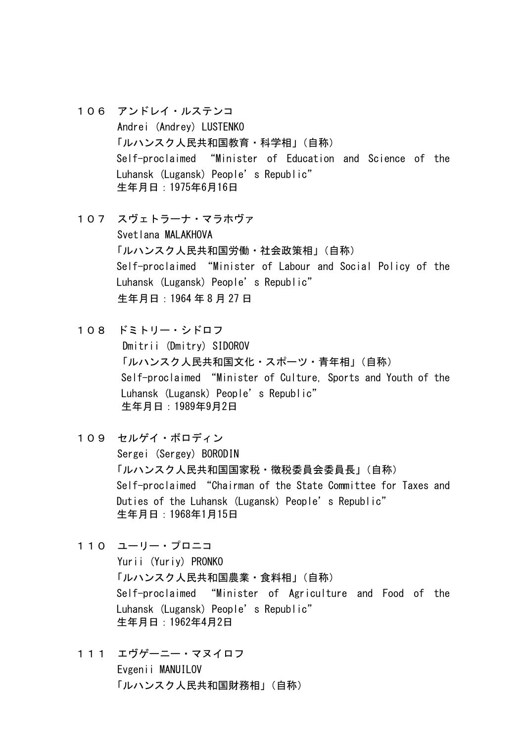- 106 アンドレイ・ルステンコ Andrei (Andrey) LUSTENKO 「ルハンスク人民共和国教育・科学相」(自称) Self-proclaimed "Minister of Education and Science of the Luhansk (Lugansk) People's Republic" 生年月日:1975年6月16日
- 107 スヴェトラーナ・マラホヴァ Svetlana MALAKHOVA 「ルハンスク人民共和国労働・社会政策相」(自称) Self-proclaimed "Minister of Labour and Social Policy of the Luhansk (Lugansk) People's Republic" 生年月日:1964 年 8 月 27 日
- 108 ドミトリー・シドロフ Dmitrii (Dmitry) SIDOROV 「ルハンスク人民共和国文化・スポーツ・青年相」(自称) Self-proclaimed "Minister of Culture, Sports and Youth of the Luhansk (Lugansk) People's Republic" 生年月日:1989年9月2日
- 109 セルゲイ・ボロディン Sergei (Sergey) BORODIN 「ルハンスク人民共和国国家税・徴税委員会委員長」(自称) Self-proclaimed "Chairman of the State Committee for Taxes and Duties of the Luhansk (Lugansk) People's Republic" 生年月日:1968年1月15日
- 110 ユーリー・プロニコ

Yurii (Yuriy) PRONKO 「ルハンスク人民共和国農業・食料相」(自称) Self-proclaimed "Minister of Agriculture and Food of the Luhansk (Lugansk) People's Republic" 生年月日:1962年4月2日

111 エヴゲーニー・マヌイロフ Evgenii MANUILOV 「ルハンスク人民共和国財務相」(自称)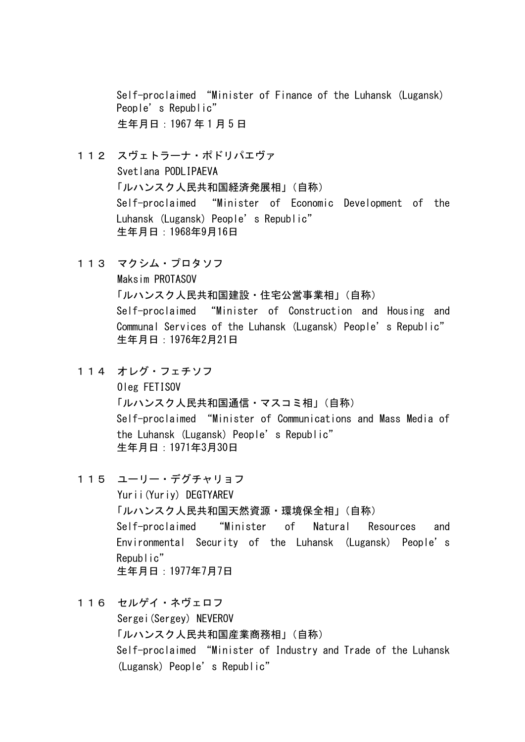Self-proclaimed "Minister of Finance of the Luhansk (Lugansk) People's Republic" 生年月日:1967 年 1 月 5 日

- 112 スヴェトラーナ・ポドリパエヴァ Svetlana PODLIPAEVA 「ルハンスク人民共和国経済発展相」(自称) Self-proclaimed "Minister of Economic Development of the Luhansk (Lugansk) People's Republic" 生年月日:1968年9月16日
- 113 マクシム・プロタソフ

Maksim PROTASOV

「ルハンスク人民共和国建設・住宅公営事業相」(自称) Self-proclaimed "Minister of Construction and Housing and Communal Services of the Luhansk (Lugansk) People's Republic" 生年月日:1976年2月21日

114 オレグ・フェチソフ

Oleg FETISOV 「ルハンスク人民共和国通信・マスコミ相」(自称) Self-proclaimed "Minister of Communications and Mass Media of the Luhansk (Lugansk) People's Republic" 生年月日:1971年3月30日

- 115 ユーリー・デグチャリョフ Yurii(Yuriy) DEGTYAREV 「ルハンスク人民共和国天然資源・環境保全相」(自称) Self-proclaimed "Minister of Natural Resources and Environmental Security of the Luhansk (Lugansk) People's Republic" 生年月日:1977年7月7日
- 116 セルゲイ・ネヴェロフ Sergei(Sergey) NEVEROV 「ルハンスク人民共和国産業商務相」(自称) Self-proclaimed "Minister of Industry and Trade of the Luhansk (Lugansk) People's Republic"